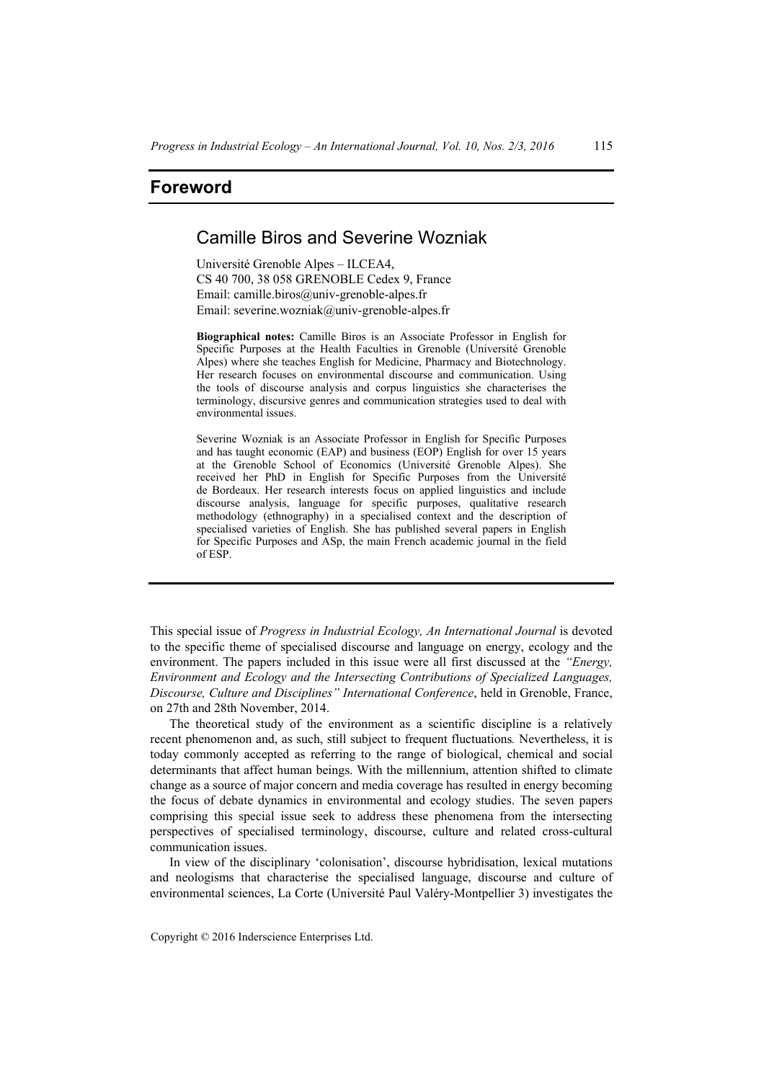## **Foreword**

## Camille Biros and Severine Wozniak

Université Grenoble Alpes – ILCEA4, CS 40 700, 38 058 GRENOBLE Cedex 9, France Email: camille.biros@univ-grenoble-alpes.fr Email: severine.wozniak@univ-grenoble-alpes.fr

**Biographical notes:** Camille Biros is an Associate Professor in English for Specific Purposes at the Health Faculties in Grenoble (Université Grenoble Alpes) where she teaches English for Medicine, Pharmacy and Biotechnology. Her research focuses on environmental discourse and communication. Using the tools of discourse analysis and corpus linguistics she characterises the terminology, discursive genres and communication strategies used to deal with environmental issues.

Severine Wozniak is an Associate Professor in English for Specific Purposes and has taught economic (EAP) and business (EOP) English for over 15 years at the Grenoble School of Economics (Université Grenoble Alpes). She received her PhD in English for Specific Purposes from the Université de Bordeaux. Her research interests focus on applied linguistics and include discourse analysis, language for specific purposes, qualitative research methodology (ethnography) in a specialised context and the description of specialised varieties of English. She has published several papers in English for Specific Purposes and ASp, the main French academic journal in the field of ESP.

This special issue of *Progress in Industrial Ecology, An International Journal* is devoted to the specific theme of specialised discourse and language on energy, ecology and the environment. The papers included in this issue were all first discussed at the *"Energy, Environment and Ecology and the Intersecting Contributions of Specialized Languages, Discourse, Culture and Disciplines" International Conference*, held in Grenoble, France, on 27th and 28th November, 2014.

The theoretical study of the environment as a scientific discipline is a relatively recent phenomenon and, as such, still subject to frequent fluctuations*.* Nevertheless, it is today commonly accepted as referring to the range of biological, chemical and social determinants that affect human beings. With the millennium, attention shifted to climate change as a source of major concern and media coverage has resulted in energy becoming the focus of debate dynamics in environmental and ecology studies. The seven papers comprising this special issue seek to address these phenomena from the intersecting perspectives of specialised terminology, discourse, culture and related cross-cultural communication issues.

In view of the disciplinary 'colonisation', discourse hybridisation, lexical mutations and neologisms that characterise the specialised language, discourse and culture of environmental sciences, La Corte (Université Paul Valéry-Montpellier 3) investigates the